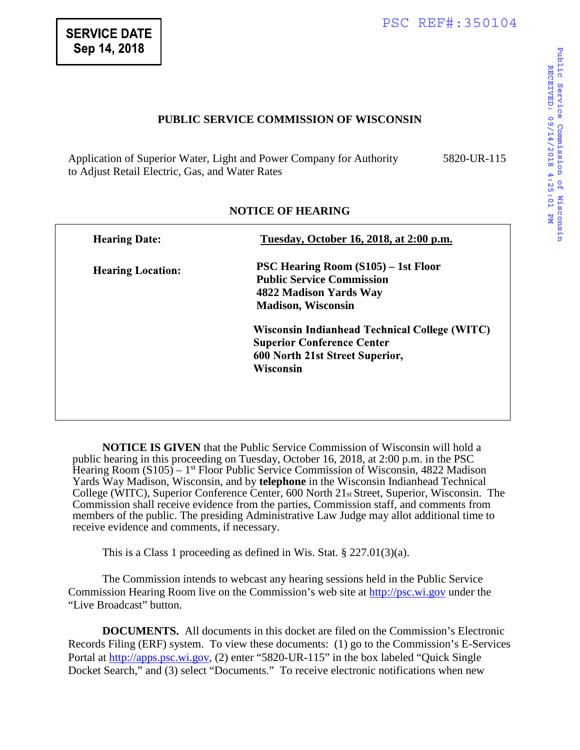## **PUBLIC SERVICE COMMISSION OF WISCONSIN**

Application of Superior Water, Light and Power Company for Authority to Adjust Retail Electric, Gas, and Water Rates 5820-UR-115

| <b>Hearing Date:</b>     | Tuesday, October 16, 2018, at 2:00 p.m.                                                                                               |
|--------------------------|---------------------------------------------------------------------------------------------------------------------------------------|
| <b>Hearing Location:</b> | <b>PSC Hearing Room (S105)</b> – 1st Floor<br><b>Public Service Commission</b><br>4822 Madison Yards Way<br><b>Madison, Wisconsin</b> |
|                          | Wisconsin Indianhead Technical College (WITC)<br><b>Superior Conference Center</b><br>600 North 21st Street Superior,<br>Wisconsin    |

## **NOTICE OF HEARING**

**NOTICE IS GIVEN** that the Public Service Commission of Wisconsin will hold a public hearing in this proceeding on Tuesday, October 16, 2018, at 2:00 p.m. in the PSC Hearing Room (S105) – 1st Floor Public Service Commission of Wisconsin, 4822 Madison Yards Way Madison, Wisconsin, and by **telephone** in the Wisconsin Indianhead Technical College (WITC), Superior Conference Center, 600 North  $21<sub>st</sub>$  Street, Superior, Wisconsin. The Commission shall receive evidence from the parties, Commission staff, and comments from members of the public. The presiding Administrative Law Judge may allot additional time to receive evidence and comments, if necessary.

This is a Class 1 proceeding as defined in Wis. Stat. § 227.01(3)(a).

The Commission intends to webcast any hearing sessions held in the Public Service Commission Hearing Room live on the Commission's web site at [http://psc.wi.gov](http://psc.wi.gov/) under the "Live Broadcast" button.

**DOCUMENTS.** All documents in this docket are filed on the Commission's Electronic Records Filing (ERF) system. To view these documents: (1) go to the Commission's E-Services Portal at [http://apps.psc.wi.gov,](http://apps.psc.wi.gov/) (2) enter "5820-UR-115" in the box labeled "Quick Single Docket Search," and (3) select "Documents." To receive electronic notifications when new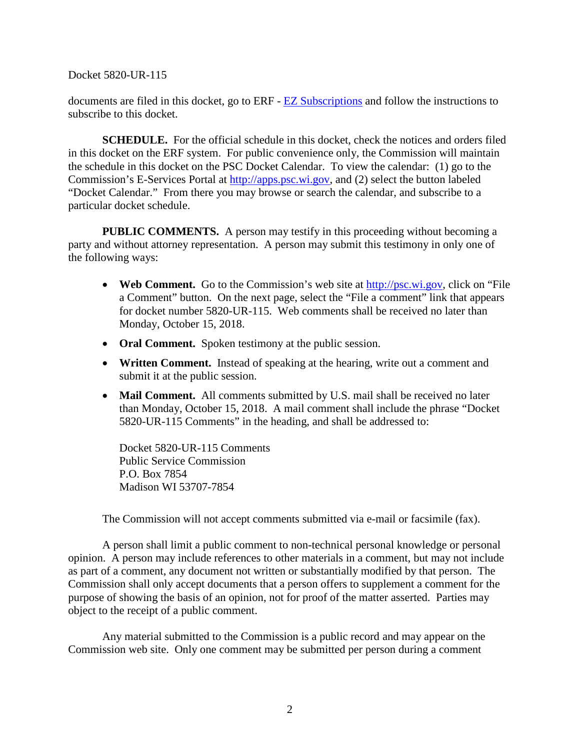Docket 5820-UR-115

documents are filed in this docket, go to ERF - [EZ Subscriptions](https://apps.psc.wi.gov/pages/ERFhome.htm) and follow the instructions to subscribe to this docket.

**SCHEDULE.** For the official schedule in this docket, check the notices and orders filed in this docket on the ERF system. For public convenience only, the Commission will maintain the schedule in this docket on the PSC Docket Calendar. To view the calendar: (1) go to the Commission's E-Services Portal at [http://apps.psc.wi.gov,](http://apps.psc.wi.gov/) and (2) select the button labeled "Docket Calendar." From there you may browse or search the calendar, and subscribe to a particular docket schedule.

**PUBLIC COMMENTS.** A person may testify in this proceeding without becoming a party and without attorney representation. A person may submit this testimony in only one of the following ways:

- **Web Comment.** Go to the Commission's web site at [http://psc.wi.gov,](http://psc.wi.gov/) click on "File" a Comment" button. On the next page, select the "File a comment" link that appears for docket number 5820-UR-115. Web comments shall be received no later than Monday, October 15, 2018.
- **Oral Comment.** Spoken testimony at the public session.
- **Written Comment.** Instead of speaking at the hearing, write out a comment and submit it at the public session.
- Mail Comment. All comments submitted by U.S. mail shall be received no later than Monday, October 15, 2018. A mail comment shall include the phrase "Docket 5820-UR-115 Comments" in the heading, and shall be addressed to:

Docket 5820-UR-115 Comments Public Service Commission P.O. Box 7854 Madison WI 53707-7854

The Commission will not accept comments submitted via e-mail or facsimile (fax).

A person shall limit a public comment to non-technical personal knowledge or personal opinion. A person may include references to other materials in a comment, but may not include as part of a comment, any document not written or substantially modified by that person. The Commission shall only accept documents that a person offers to supplement a comment for the purpose of showing the basis of an opinion, not for proof of the matter asserted. Parties may object to the receipt of a public comment.

Any material submitted to the Commission is a public record and may appear on the Commission web site. Only one comment may be submitted per person during a comment